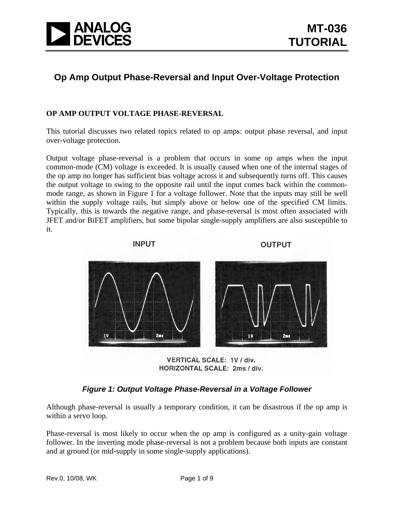

# **Op Amp Output Phase-Reversal and Input Over-Voltage Protection**

## **OP AMP OUTPUT VOLTAGE PHASE-REVERSAL**

This tutorial discusses two related topics related to op amps: output phase reversal, and input over-voltage protection.

Output voltage phase-reversal is a problem that occurs in some op amps when the input common-mode (CM) voltage is exceeded. It is usually caused when one of the internal stages of the op amp no longer has sufficient bias voltage across it and subsequently turns off. This causes the output voltage to swing to the opposite rail until the input comes back within the commonmode range, as shown in Figure 1 for a voltage follower. Note that the inputs may still be well within the supply voltage rails, but simply above or below one of the specified CM limits. Typically, this is towards the negative range, and phase-reversal is most often associated with JFET and/or BiFET amplifiers, but some bipolar single-supply amplifiers are also susceptible to it.



HORIZONTAL SCALE: 2ms / div.

## *Figure 1: Output Voltage Phase-Reversal in a Voltage Follower*

Although phase-reversal is usually a temporary condition, it can be disastrous if the op amp is within a servo loop.

Phase-reversal is most likely to occur when the op amp is configured as a unity-gain voltage follower. In the inverting mode phase-reversal is not a problem because both inputs are constant and at ground (or mid-supply in some single-supply applications).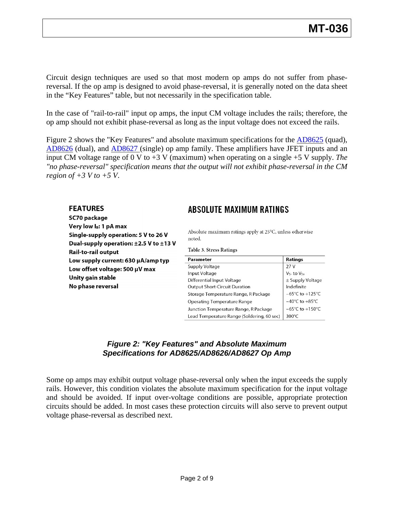Circuit design techniques are used so that most modern op amps do not suffer from phasereversal. If the op amp is designed to avoid phase-reversal, it is generally noted on the data sheet in the "Key Features" table, but not necessarily in the specification table.

In the case of "rail-to-rail" input op amps, the input CM voltage includes the rails; therefore, the op amp should not exhibit phase-reversal as long as the input voltage does not exceed the rails.

Figure 2 shows the "Key Features" and absolute maximum specifications for the **AD8625** (quad), [AD8626](http://www.analog.com/en/amplifiers-and-comparators/operational-amplifiers-op-amps/ad8626/products/product.html) (dual), and [AD8627](http://www.analog.com/en/amplifiers-and-comparators/operational-amplifiers-op-amps/ad8627/products/product.html) (single) op amp family. These amplifiers have JFET inputs and an input CM voltage range of 0 V to +3 V (maximum) when operating on a single +5 V supply. *The "no phase-reversal" specification means that the output will not exhibit phase-reversal in the CM region of +3 V to +5 V*.

#### **FEATURES**

SC70 package Very low I<sub>B</sub>: 1 pA max Single-supply operation: 5 V to 26 V Dual-supply operation:  $\pm 2.5$  V to  $\pm 13$  V Rail-to-rail output Low supply current: 630 µA/amp typ Low offset voltage: 500 µV max Unity gain stable No phase reversal

# **ABSOLUTE MAXIMUM RATINGS**

Absolute maximum ratings apply at 25°C, unless otherwise noted.

**Table 3. Stress Ratings** 

| Parameter                                  | Ratings                             |
|--------------------------------------------|-------------------------------------|
| Supply Voltage                             | 27 V                                |
| Input Voltage                              | $V_{S-}$ to $V_{S+}$                |
| Differential Input Voltage                 | $\pm$ Supply Voltage                |
| <b>Output Short-Circuit Duration</b>       | Indefinite                          |
| Storage Temperature Range, R Package       | $-65^{\circ}$ C to $+125^{\circ}$ C |
| <b>Operating Temperature Range</b>         | $-40^{\circ}$ C to $+85^{\circ}$ C  |
| Junction Temperature Range, R Package      | $-65^{\circ}$ C to $+150^{\circ}$ C |
| Lead Temperature Range (Soldering, 60 sec) | $300^{\circ}$ C                     |

## *Figure 2: "Key Features" and Absolute Maximum Specifications for AD8625/AD8626/AD8627 Op Amp*

Some op amps may exhibit output voltage phase-reversal only when the input exceeds the supply rails. However, this condition violates the absolute maximum specification for the input voltage and should be avoided. If input over-voltage conditions are possible, appropriate protection circuits should be added. In most cases these protection circuits will also serve to prevent output voltage phase-reversal as described next.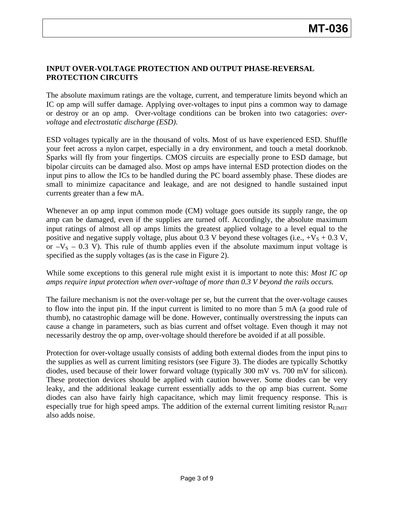## **INPUT OVER-VOLTAGE PROTECTION AND OUTPUT PHASE-REVERSAL PROTECTION CIRCUITS**

The absolute maximum ratings are the voltage, current, and temperature limits beyond which an IC op amp will suffer damage. Applying over-voltages to input pins a common way to damage or destroy or an op amp. Over-voltage conditions can be broken into two catagories: *overvoltage* and *electrostatic discharge (ESD)*.

ESD voltages typically are in the thousand of volts. Most of us have experienced ESD. Shuffle your feet across a nylon carpet, especially in a dry environment, and touch a metal doorknob. Sparks will fly from your fingertips. CMOS circuits are especially prone to ESD damage, but bipolar circuits can be damaged also. Most op amps have internal ESD protection diodes on the input pins to allow the ICs to be handled during the PC board assembly phase. These diodes are small to minimize capacitance and leakage, and are not designed to handle sustained input currents greater than a few mA.

Whenever an op amp input common mode (CM) voltage goes outside its supply range, the op amp can be damaged, even if the supplies are turned off. Accordingly, the absolute maximum input ratings of almost all op amps limits the greatest applied voltage to a level equal to the positive and negative supply voltage, plus about 0.3 V beyond these voltages (i.e.,  $+V_s + 0.3 V$ , or  $-V<sub>S</sub>$  – 0.3 V). This rule of thumb applies even if the absolute maximum input voltage is specified as the supply voltages (as is the case in Figure 2).

### While some exceptions to this general rule might exist it is important to note this: *Most IC op amps require input protection when over-voltage of more than 0.3 V beyond the rails occurs.*

The failure mechanism is not the over-voltage per se, but the current that the over-voltage causes to flow into the input pin. If the input current is limited to no more than 5 mA (a good rule of thumb), no catastrophic damage will be done. However, continually overstressing the inputs can cause a change in parameters, such as bias current and offset voltage. Even though it may not necessarily destroy the op amp, over-voltage should therefore be avoided if at all possible.

Protection for over-voltage usually consists of adding both external diodes from the input pins to the supplies as well as current limiting resistors (see Figure 3). The diodes are typically Schottky diodes, used because of their lower forward voltage (typically 300 mV vs. 700 mV for silicon). These protection devices should be applied with caution however. Some diodes can be very leaky, and the additional leakage current essentially adds to the op amp bias current. Some diodes can also have fairly high capacitance, which may limit frequency response. This is especially true for high speed amps. The addition of the external current limiting resistor  $R_{LIMIT}$ also adds noise.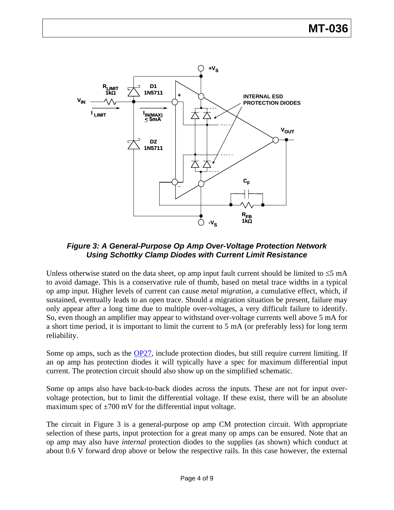

*Figure 3: A General-Purpose Op Amp Over-Voltage Protection Network Using Schottky Clamp Diodes with Current Limit Resistance* 

Unless otherwise stated on the data sheet, op amp input fault current should be limited to  $\leq$ 5 mA to avoid damage. This is a conservative rule of thumb, based on metal trace widths in a typical op amp input. Higher levels of current can cause *metal migration*, a cumulative effect, which, if sustained, eventually leads to an open trace. Should a migration situation be present, failure may only appear after a long time due to multiple over-voltages, a very difficult failure to identify. So, even though an amplifier may appear to withstand over-voltage currents well above 5 mA for a short time period, it is important to limit the current to 5 mA (or preferably less) for long term reliability.

Some op amps, such as the [OP27,](http://www.analog.com/en/other/militaryaerospace/op27/products/product.html) include protection diodes, but still require current limiting. If an op amp has protection diodes it will typically have a spec for maximum differential input current. The protection circuit should also show up on the simplified schematic.

Some op amps also have back-to-back diodes across the inputs. These are not for input overvoltage protection, but to limit the differential voltage. If these exist, there will be an absolute maximum spec of  $\pm 700$  mV for the differential input voltage.

The circuit in Figure 3 is a general-purpose op amp CM protection circuit. With appropriate selection of these parts, input protection for a great many op amps can be ensured. Note that an op amp may also have *internal* protection diodes to the supplies (as shown) which conduct at about 0.6 V forward drop above or below the respective rails. In this case however, the external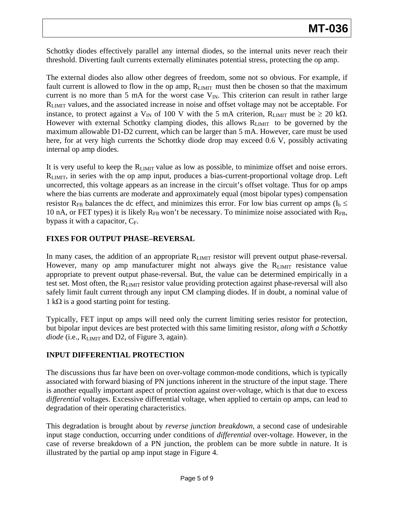Schottky diodes effectively parallel any internal diodes, so the internal units never reach their threshold. Diverting fault currents externally eliminates potential stress, protecting the op amp.

The external diodes also allow other degrees of freedom, some not so obvious. For example, if fault current is allowed to flow in the op amp,  $R_{LIMIT}$  must then be chosen so that the maximum current is no more than 5 mA for the worst case  $V_{IN}$ . This criterion can result in rather large RLIMIT values, and the associated increase in noise and offset voltage may not be acceptable. For instance, to protect against a V<sub>IN</sub> of 100 V with the 5 mA criterion, R<sub>LIMIT</sub> must be  $\geq 20$  kΩ. However with external Schottky clamping diodes, this allows RLIMIT to be governed by the maximum allowable D1-D2 current, which can be larger than 5 mA. However, care must be used here, for at very high currents the Schottky diode drop may exceed 0.6 V, possibly activating internal op amp diodes.

It is very useful to keep the R<sub>LIMIT</sub> value as low as possible, to minimize offset and noise errors. RLIMIT, in series with the op amp input, produces a bias-current-proportional voltage drop. Left uncorrected, this voltage appears as an increase in the circuit's offset voltage. Thus for op amps where the bias currents are moderate and approximately equal (most bipolar types) compensation resistor R<sub>FB</sub> balances the dc effect, and minimizes this error. For low bias current op amps ( $I_b \le$ 10 nA, or FET types) it is likely  $R_{FB}$  won't be necessary. To minimize noise associated with  $R_{FB}$ , bypass it with a capacitor,  $C_F$ .

## **FIXES FOR OUTPUT PHASE–REVERSAL**

In many cases, the addition of an appropriate R<sub>LIMIT</sub> resistor will prevent output phase-reversal. However, many op amp manufacturer might not always give the R<sub>LIMIT</sub> resistance value appropriate to prevent output phase-reversal. But, the value can be determined empirically in a test set. Most often, the R<sub>LIMIT</sub> resistor value providing protection against phase-reversal will also safely limit fault current through any input CM clamping diodes. If in doubt, a nominal value of  $1$  kΩ is a good starting point for testing.

Typically, FET input op amps will need only the current limiting series resistor for protection, but bipolar input devices are best protected with this same limiting resistor, *along with a Schottky diode* (i.e., R<sub>LIMIT</sub> and D2, of Figure 3, again).

## **INPUT DIFFERENTIAL PROTECTION**

The discussions thus far have been on over-voltage common-mode conditions, which is typically associated with forward biasing of PN junctions inherent in the structure of the input stage. There is another equally important aspect of protection against over-voltage, which is that due to excess *differential* voltages. Excessive differential voltage, when applied to certain op amps, can lead to degradation of their operating characteristics.

This degradation is brought about by *reverse junction breakdown,* a second case of undesirable input stage conduction, occurring under conditions of *differential* over-voltage. However, in the case of reverse breakdown of a PN junction, the problem can be more subtle in nature. It is illustrated by the partial op amp input stage in Figure 4.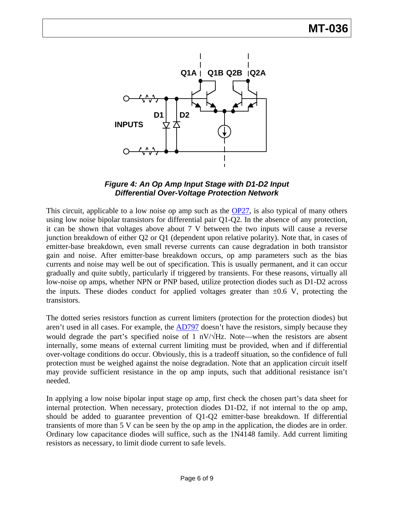

## *Figure 4: An Op Amp Input Stage with D1-D2 Input Differential Over-Voltage Protection Network*

This circuit, applicable to a low noise op amp such as the [OP27,](http://www.analog.com/en/other/militaryaerospace/op27/products/product.html) is also typical of many others using low noise bipolar transistors for differential pair Q1-Q2. In the absence of any protection, it can be shown that voltages above about 7 V between the two inputs will cause a reverse junction breakdown of either Q2 or Q1 (dependent upon relative polarity). Note that, in cases of emitter-base breakdown, even small reverse currents can cause degradation in both transistor gain and noise. After emitter-base breakdown occurs, op amp parameters such as the bias currents and noise may well be out of specification. This is usually permanent, and it can occur gradually and quite subtly, particularly if triggered by transients. For these reasons, virtually all low-noise op amps, whether NPN or PNP based, utilize protection diodes such as D1-D2 across the inputs. These diodes conduct for applied voltages greater than  $\pm 0.6$  V, protecting the transistors.

The dotted series resistors function as current limiters (protection for the protection diodes) but aren't used in all cases. For example, the [AD797](http://www.analog.com/en/other/militaryaerospace/ad797/products/product.html) doesn't have the resistors, simply because they would degrade the part's specified noise of 1 nV/ $\forall$ Hz. Note—when the resistors are absent internally, some means of external current limiting must be provided, when and if differential over-voltage conditions do occur. Obviously, this is a tradeoff situation, so the confidence of full protection must be weighed against the noise degradation. Note that an application circuit itself may provide sufficient resistance in the op amp inputs, such that additional resistance isn't needed.

In applying a low noise bipolar input stage op amp, first check the chosen part's data sheet for internal protection. When necessary, protection diodes D1-D2, if not internal to the op amp, should be added to guarantee prevention of Q1-Q2 emitter-base breakdown. If differential transients of more than 5 V can be seen by the op amp in the application, the diodes are in order. Ordinary low capacitance diodes will suffice, such as the 1N4148 family. Add current limiting resistors as necessary, to limit diode current to safe levels.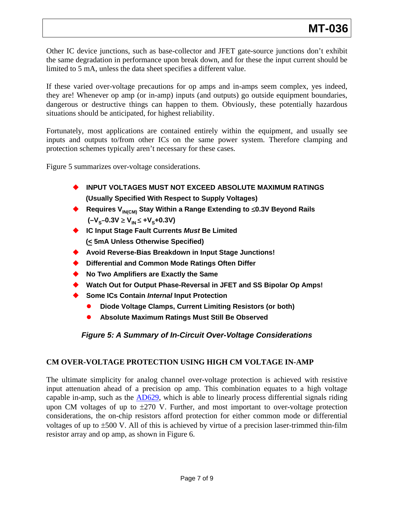Other IC device junctions, such as base-collector and JFET gate-source junctions don't exhibit the same degradation in performance upon break down, and for these the input current should be limited to 5 mA, unless the data sheet specifies a different value.

If these varied over-voltage precautions for op amps and in-amps seem complex, yes indeed, they are! Whenever op amp (or in-amp) inputs (and outputs) go outside equipment boundaries, dangerous or destructive things can happen to them. Obviously, these potentially hazardous situations should be anticipated, for highest reliability.

Fortunately, most applications are contained entirely within the equipment, and usually see inputs and outputs to/from other ICs on the same power system. Therefore clamping and protection schemes typically aren't necessary for these cases.

Figure 5 summarizes over-voltage considerations.

- **INPUT VOLTAGES MUST NOT EXCEED ABSOLUTE MAXIMUM RATINGS (Usually Specified With Respect to Supply Voltages)**
- **Requires VIN(CM) Stay Within a Range Extending to** ≤**0.3V Beyond Rails**   $(-V<sub>s</sub>-0.3V \ge V<sub>IN</sub> \le +V<sub>s</sub>+0.3V)$
- ◆ **IC Input Stage Fault Currents** *Must* **Be Limited (< 5mA Unless Otherwise Specified)**
- **Avoid Reverse-Bias Breakdown in Input Stage Junctions!**
- **Differential and Common Mode Ratings Often Differ**
- **No Two Amplifiers are Exactly the Same**
- ◆ Watch Out for Output Phase-Reversal in JFET and SS Bipolar Op Amps!
- $\blacklozenge$ **Some ICs Contain** *Internal* **Input Protection** 
	- $\bullet$ **Diode Voltage Clamps, Current Limiting Resistors (or both)**
	- $\bullet$ **Absolute Maximum Ratings Must Still Be Observed**

# *Figure 5: A Summary of In-Circuit Over-Voltage Considerations*

## **CM OVER-VOLTAGE PROTECTION USING HIGH CM VOLTAGE IN-AMP**

The ultimate simplicity for analog channel over-voltage protection is achieved with resistive input attenuation ahead of a precision op amp. This combination equates to a high voltage capable in-amp, such as the [AD629](http://www.analog.com/en/amplifiers-and-comparators/current-sense-amplifiers/ad629/products/product.html), which is able to linearly process differential signals riding upon CM voltages of up to  $\pm 270$  V. Further, and most important to over-voltage protection considerations, the on-chip resistors afford protection for either common mode or differential voltages of up to ±500 V. All of this is achieved by virtue of a precision laser-trimmed thin-film resistor array and op amp, as shown in Figure 6.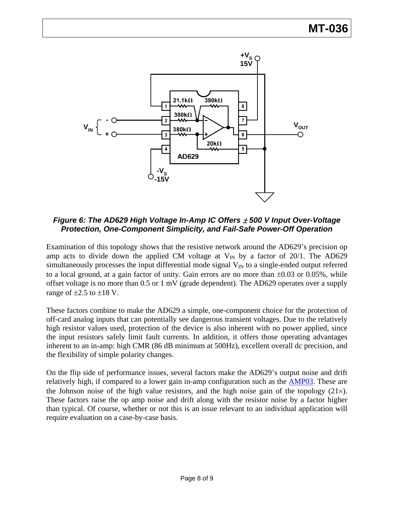

*Figure 6: The AD629 High Voltage In-Amp IC Offers* ± *500 V Input Over-Voltage Protection, One-Component Simplicity, and Fail-Safe Power-Off Operation* 

Examination of this topology shows that the resistive network around the AD629's precision op amp acts to divide down the applied CM voltage at  $V_{IN}$  by a factor of 20/1. The AD629 simultaneously processes the input differential mode signal  $V_{IN}$  to a single-ended output referred to a local ground, at a gain factor of unity. Gain errors are no more than ±0.03 or 0.05%, while offset voltage is no more than 0.5 or 1 mV (grade dependent). The AD629 operates over a supply range of  $\pm 2.5$  to  $\pm 18$  V.

These factors combine to make the AD629 a simple, one-component choice for the protection of off-card analog inputs that can potentially see dangerous transient voltages. Due to the relatively high resistor values used, protection of the device is also inherent with no power applied, since the input resistors safely limit fault currents. In addition, it offers those operating advantages inherent to an in-amp: high CMR (86 dB minimum at 500Hz), excellent overall dc precision, and the flexibility of simple polarity changes.

On the flip side of performance issues, several factors make the AD629's output noise and drift relatively high, if compared to a lower gain in-amp configuration such as the **AMP03**. These are the Johnson noise of the high value resistors, and the high noise gain of the topology  $(21\times)$ . These factors raise the op amp noise and drift along with the resistor noise by a factor higher than typical. Of course, whether or not this is an issue relevant to an individual application will require evaluation on a case-by-case basis.